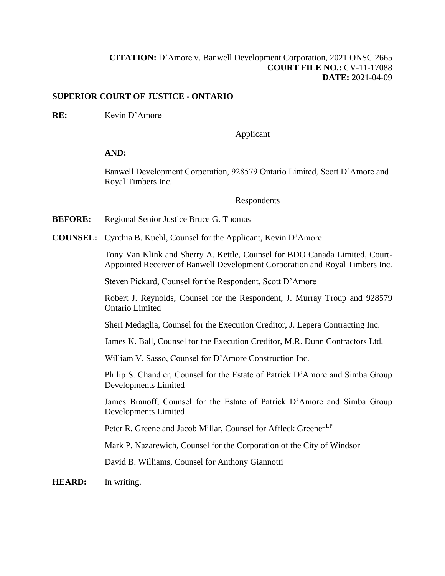## **[CITATION:](http://intra.judicialsecurity.jus.gov.on.ca/NeutralCitation/)** D'Amore v. Banwell Development Corporation, 2021 ONSC 2665 **COURT FILE NO.:** CV-11-17088 **DATE:** 2021-04-09

## **SUPERIOR COURT OF JUSTICE - ONTARIO**

**RE:** Kevin D'Amore

Applicant

## **AND:**

Banwell Development Corporation, 928579 Ontario Limited, Scott D'Amore and Royal Timbers Inc.

Respondents

**BEFORE:** Regional Senior Justice Bruce G. Thomas

**COUNSEL:** Cynthia B. Kuehl, Counsel for the Applicant, Kevin D'Amore

Tony Van Klink and Sherry A. Kettle, Counsel for BDO Canada Limited, Court-Appointed Receiver of Banwell Development Corporation and Royal Timbers Inc.

Steven Pickard, Counsel for the Respondent, Scott D'Amore

Robert J. Reynolds, Counsel for the Respondent, J. Murray Troup and 928579 Ontario Limited

Sheri Medaglia, Counsel for the Execution Creditor, J. Lepera Contracting Inc.

James K. Ball, Counsel for the Execution Creditor, M.R. Dunn Contractors Ltd.

William V. Sasso, Counsel for D'Amore Construction Inc.

Philip S. Chandler, Counsel for the Estate of Patrick D'Amore and Simba Group Developments Limited

James Branoff, Counsel for the Estate of Patrick D'Amore and Simba Group Developments Limited

Peter R. Greene and Jacob Millar, Counsel for Affleck GreeneLLP

Mark P. Nazarewich, Counsel for the Corporation of the City of Windsor

David B. Williams, Counsel for Anthony Giannotti

**HEARD:** In writing.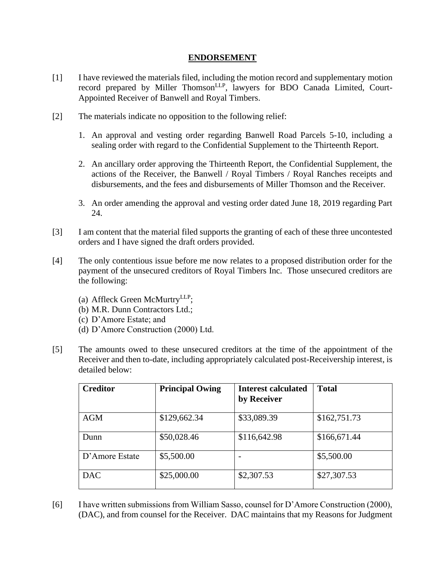## **ENDORSEMENT**

- [1] I have reviewed the materials filed, including the motion record and supplementary motion record prepared by Miller Thomson<sup>LLP</sup>, lawyers for BDO Canada Limited, Court-Appointed Receiver of Banwell and Royal Timbers.
- [2] The materials indicate no opposition to the following relief:
	- 1. An approval and vesting order regarding Banwell Road Parcels 5-10, including a sealing order with regard to the Confidential Supplement to the Thirteenth Report.
	- 2. An ancillary order approving the Thirteenth Report, the Confidential Supplement, the actions of the Receiver, the Banwell / Royal Timbers / Royal Ranches receipts and disbursements, and the fees and disbursements of Miller Thomson and the Receiver.
	- 3. An order amending the approval and vesting order dated June 18, 2019 regarding Part 24.
- [3] I am content that the material filed supports the granting of each of these three uncontested orders and I have signed the draft orders provided.
- [4] The only contentious issue before me now relates to a proposed distribution order for the payment of the unsecured creditors of Royal Timbers Inc. Those unsecured creditors are the following:
	- (a) Affleck Green McMurtry<sup>LLP</sup>;
	- (b) M.R. Dunn Contractors Ltd.;
	- (c) D'Amore Estate; and
	- (d) D'Amore Construction (2000) Ltd.
- [5] The amounts owed to these unsecured creditors at the time of the appointment of the Receiver and then to-date, including appropriately calculated post-Receivership interest, is detailed below:

| <b>Creditor</b> | <b>Principal Owing</b> | <b>Interest calculated</b><br>by Receiver | <b>Total</b> |
|-----------------|------------------------|-------------------------------------------|--------------|
| <b>AGM</b>      | \$129,662.34           | \$33,089.39                               | \$162,751.73 |
| Dunn            | \$50,028.46            | \$116,642.98                              | \$166,671.44 |
| D'Amore Estate  | \$5,500.00             | $\overline{\phantom{a}}$                  | \$5,500.00   |
| <b>DAC</b>      | \$25,000.00            | \$2,307.53                                | \$27,307.53  |

[6] I have written submissions from William Sasso, counsel for D'Amore Construction (2000), (DAC), and from counsel for the Receiver. DAC maintains that my Reasons for Judgment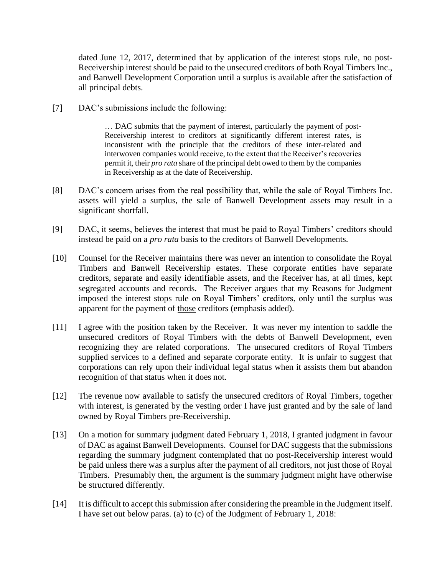dated June 12, 2017, determined that by application of the interest stops rule, no post-Receivership interest should be paid to the unsecured creditors of both Royal Timbers Inc., and Banwell Development Corporation until a surplus is available after the satisfaction of all principal debts.

[7] DAC's submissions include the following:

… DAC submits that the payment of interest, particularly the payment of post-Receivership interest to creditors at significantly different interest rates, is inconsistent with the principle that the creditors of these inter-related and interwoven companies would receive, to the extent that the Receiver's recoveries permit it, their *pro rata* share of the principal debt owed to them by the companies in Receivership as at the date of Receivership.

- [8] DAC's concern arises from the real possibility that, while the sale of Royal Timbers Inc. assets will yield a surplus, the sale of Banwell Development assets may result in a significant shortfall.
- [9] DAC, it seems, believes the interest that must be paid to Royal Timbers' creditors should instead be paid on a *pro rata* basis to the creditors of Banwell Developments.
- [10] Counsel for the Receiver maintains there was never an intention to consolidate the Royal Timbers and Banwell Receivership estates. These corporate entities have separate creditors, separate and easily identifiable assets, and the Receiver has, at all times, kept segregated accounts and records. The Receiver argues that my Reasons for Judgment imposed the interest stops rule on Royal Timbers' creditors, only until the surplus was apparent for the payment of those creditors (emphasis added).
- [11] I agree with the position taken by the Receiver. It was never my intention to saddle the unsecured creditors of Royal Timbers with the debts of Banwell Development, even recognizing they are related corporations. The unsecured creditors of Royal Timbers supplied services to a defined and separate corporate entity. It is unfair to suggest that corporations can rely upon their individual legal status when it assists them but abandon recognition of that status when it does not.
- [12] The revenue now available to satisfy the unsecured creditors of Royal Timbers, together with interest, is generated by the vesting order I have just granted and by the sale of land owned by Royal Timbers pre-Receivership.
- [13] On a motion for summary judgment dated February 1, 2018, I granted judgment in favour of DAC as against Banwell Developments. Counsel for DAC suggests that the submissions regarding the summary judgment contemplated that no post-Receivership interest would be paid unless there was a surplus after the payment of all creditors, not just those of Royal Timbers. Presumably then, the argument is the summary judgment might have otherwise be structured differently.
- [14] It is difficult to accept this submission after considering the preamble in the Judgment itself. I have set out below paras. (a) to (c) of the Judgment of February 1, 2018: